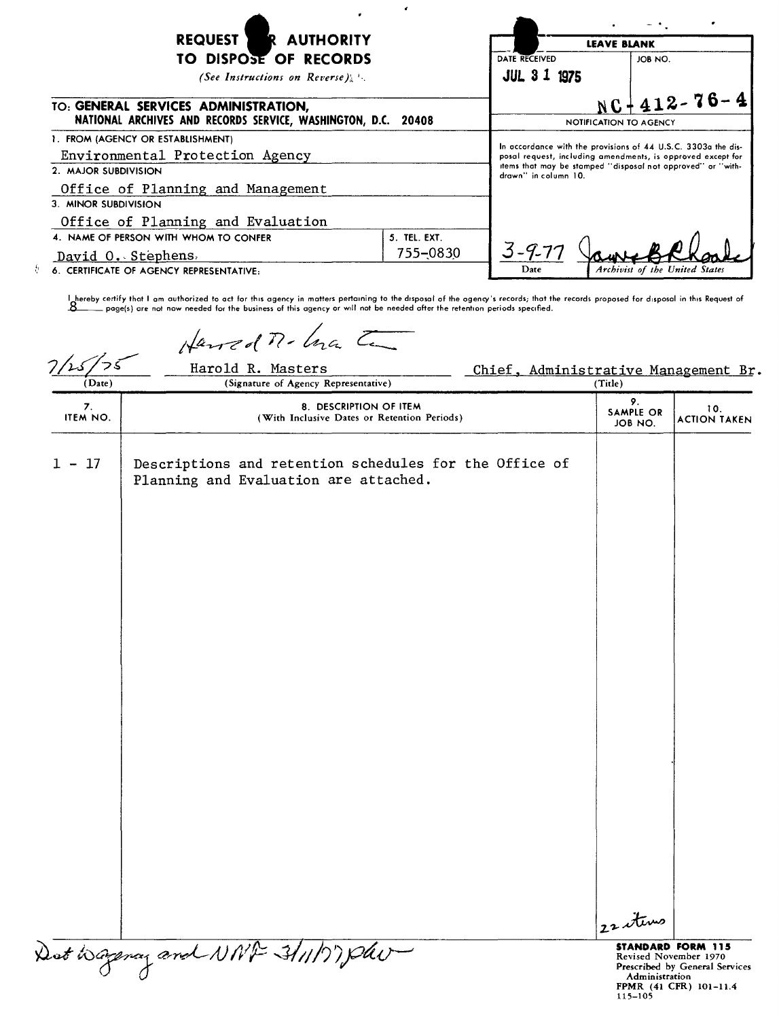| <b>R</b> AUTHORITY<br><b>REQUEST</b>                                                                  |                                                                                                                              |                                                             | <b>LEAVE BLANK</b>                            |  |
|-------------------------------------------------------------------------------------------------------|------------------------------------------------------------------------------------------------------------------------------|-------------------------------------------------------------|-----------------------------------------------|--|
| <b>TO DISPOSE OF RECORDS</b>                                                                          |                                                                                                                              | DATE RECEIVED                                               | JOB NO.                                       |  |
| (See Instructions on Reverse).                                                                        |                                                                                                                              | <b>JUL 3 1 1975</b>                                         |                                               |  |
| TO: GENERAL SERVICES ADMINISTRATION,<br>NATIONAL ARCHIVES AND RECORDS SERVICE, WASHINGTON, D.C. 20408 |                                                                                                                              |                                                             | $NC + 412 - 76 - 4$<br>NOTIFICATION TO AGENCY |  |
| 1. FROM (AGENCY OR ESTABLISHMENT)                                                                     |                                                                                                                              |                                                             |                                               |  |
| Environmental Protection Agency                                                                       | In accordance with the provisions of 44 U.S.C. 3303a the dis-<br>posal request, including amendments, is opproved except for |                                                             |                                               |  |
| 2. MAJOR SUBDIVISION                                                                                  | drawn" in column 10.                                                                                                         | items that may be stamped "disposal not approved" or "with- |                                               |  |
| Office of Planning and Management                                                                     |                                                                                                                              |                                                             |                                               |  |
| 3. MINOR SUBDIVISION                                                                                  |                                                                                                                              |                                                             |                                               |  |
| Office of Planning and Evaluation                                                                     |                                                                                                                              |                                                             |                                               |  |
| 4. NAME OF PERSON WITH WHOM TO CONFER                                                                 | 5. TEL. EXT.                                                                                                                 |                                                             |                                               |  |
| David O. Stephens.                                                                                    | 755-0830                                                                                                                     | $3 - 9$                                                     |                                               |  |
| 6. CERTIFICATE OF AGENCY REPRESENTATIVE:                                                              |                                                                                                                              | Date                                                        | Archivist of the United States                |  |

l hereby certify that I am authorized to act for this agency in matters pertaining to the disposal of the ogency's records; that the records proposed for disposal in this Request of<br>.C\_\_\_\_\_\_ page(s) are not now needed for

*7/25/75 Harold R. Masters Chief, Administrative Management Br.* 

 $\frac{\ell_1}{\ell_1}$ 

| (Date)         | (Signature of Agency Representative)                                                            | (Title)                               |                                                                                                               |  |
|----------------|-------------------------------------------------------------------------------------------------|---------------------------------------|---------------------------------------------------------------------------------------------------------------|--|
| 7.<br>ITEM NO. | 8. DESCRIPTION OF ITEM<br>(With Inclusive Dates or Retention Periods)                           | 9.<br>SAMPLE OR<br>JOB NO.            | 10.<br><b>ACTION TAKEN</b>                                                                                    |  |
| $1 - 17$       | Descriptions and retention schedules for the Office of<br>Planning and Evaluation are attached. |                                       |                                                                                                               |  |
|                |                                                                                                 |                                       |                                                                                                               |  |
|                | Det bagenag and NNF 3/11/77 par                                                                 | 22 items<br>Administration<br>115-105 | <b>STANDARD FORM 115</b><br>Revised November 1970<br>Prescribed by General Services<br>FPMR (41 CFR) 101-11.4 |  |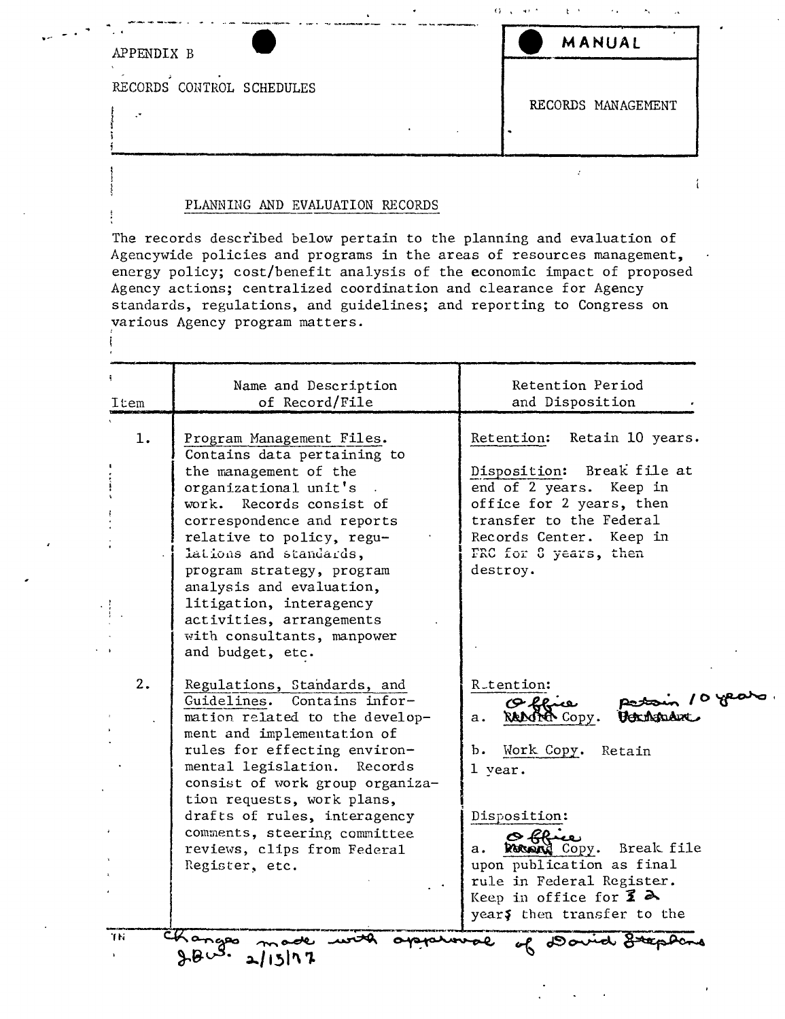| $\bullet$ | APPENDIX B                | MANUAL             |
|-----------|---------------------------|--------------------|
|           | RECORDS CONTROL SCHEDULES | RECORDS MANAGEMENT |

## PLANNING AND EVALUATION RECORDS

The records described below pertain to the planning and evaluation of Agencywide policies and programs in the areas of resources management, energy policy; cost/benefit analysis of the economic impact of proposed Agency actions; centralized coordination and clearance for Agency standards, regulations, and guidelines; and reporting to Congress on various Agency program matters.

 $\mathcal{L}$ 

Ť.

| Item | Name and Description<br>of Record/File                                                                                                                                                                                                                                                                                                                                                           | Retention Period<br>and Disposition                                                                                                                                                                                                                                                                                                |
|------|--------------------------------------------------------------------------------------------------------------------------------------------------------------------------------------------------------------------------------------------------------------------------------------------------------------------------------------------------------------------------------------------------|------------------------------------------------------------------------------------------------------------------------------------------------------------------------------------------------------------------------------------------------------------------------------------------------------------------------------------|
| 1.   | Program Management Files.<br>Contains data pertaining to<br>the management of the<br>organizational unit's<br>work.<br>Records consist of<br>correspondence and reports<br>relative to policy, regu-<br>lations and standards,<br>program strategy, program<br>analysis and evaluation,<br>litigation, interagency<br>activities, arrangements<br>with consultants, manpower<br>and budget, etc. | Retain 10 years.<br>Retention:<br>Disposition: Break file at<br>end of 2 years. Keep in<br>office for 2 years, then<br>transfer to the Federal<br>Records Center. Keep in<br>FRC for 8 years, then<br>destroy.                                                                                                                     |
| 2.   | Regulations, Standards, and<br>Guidelines. Contains infor-<br>mation related to the develop-<br>ment and implementation of<br>rules for effecting environ-<br>mental legislation. Records<br>consist of work group organiza-<br>tion requests, work plans,<br>drafts of rules, interagency<br>comments, steering committee<br>reviews, clips from Federal<br>Register, etc.                      | R <sub>-tention</sub> :<br>oplice<br><b>Here fictus</b><br>RANGE Copy.<br>$a_{\bullet}$<br>Work Copy. Retain<br>b.<br>1 year.<br>Disposition:<br>O ffrie<br><b>Record</b> Copy. Break file<br>а.<br>upon publication as final<br>rule in Federal Register.<br>Keep in office for $\Sigma$ $\lambda$<br>year\$ then transfer to the |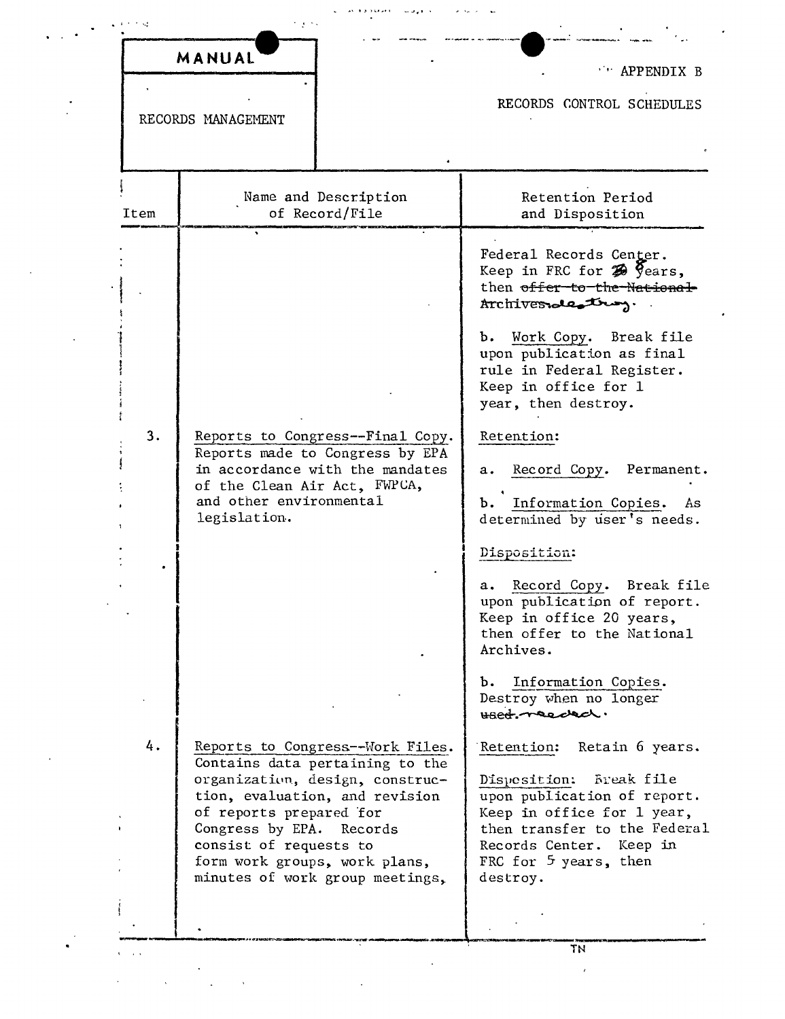|      | MANUAL                                                                                                                                                                                                                                                                                        | " APPENDIX B                                                                                                                                                                                                       |
|------|-----------------------------------------------------------------------------------------------------------------------------------------------------------------------------------------------------------------------------------------------------------------------------------------------|--------------------------------------------------------------------------------------------------------------------------------------------------------------------------------------------------------------------|
|      | RECORDS MANAGEMENT                                                                                                                                                                                                                                                                            | RECORDS CONTROL SCHEDULES                                                                                                                                                                                          |
| Item | Name and Description<br>of Record/File                                                                                                                                                                                                                                                        | Retention Period<br>and Disposition                                                                                                                                                                                |
|      |                                                                                                                                                                                                                                                                                               | Federal Records Center.<br>Keep in FRC for $\mathcal{B}$ Gears,<br>then offer-to-the-National-<br>Archivesidestry.                                                                                                 |
|      |                                                                                                                                                                                                                                                                                               | b. Work Copy. Break file<br>upon publication as final<br>rule in Federal Register.<br>Keep in office for 1<br>year, then destroy.                                                                                  |
| 3.   | Reports to Congress--Final Copy.<br>Reports made to Congress by EPA<br>in accordance with the mandates<br>of the Clean Air Act, FWPCA,<br>and other environmental<br>legislation.                                                                                                             | Retention:<br>Record Copy.<br>Permanent.<br>а.<br>Information Copies.<br>b. –<br>As<br>determined by user's needs.                                                                                                 |
|      |                                                                                                                                                                                                                                                                                               | Disposition:<br>a. Record Copy. Break file<br>upon publication of report.<br>Keep in office 20 years,<br>then offer to the National<br>Archives.                                                                   |
|      |                                                                                                                                                                                                                                                                                               | Information Copies.<br>Ъ.<br>Destroy when no longer<br>Heet meeded.                                                                                                                                                |
| 4.   | Reports to Congress--Work Files.<br>Contains data pertaining to the<br>organization, design, construc-<br>tion, evaluation, and revision<br>of reports prepared for<br>Congress by EPA. Records<br>consist of requests to<br>form work groups, work plans,<br>minutes of work group meetings, | Retention: Retain 6 years.<br>Disposition: Break file<br>upon publication of report.<br>Keep in office for 1 year,<br>then transfer to the Federal<br>Records Center. Keep in<br>FRC for 5 years, then<br>destroy. |
|      |                                                                                                                                                                                                                                                                                               | TN                                                                                                                                                                                                                 |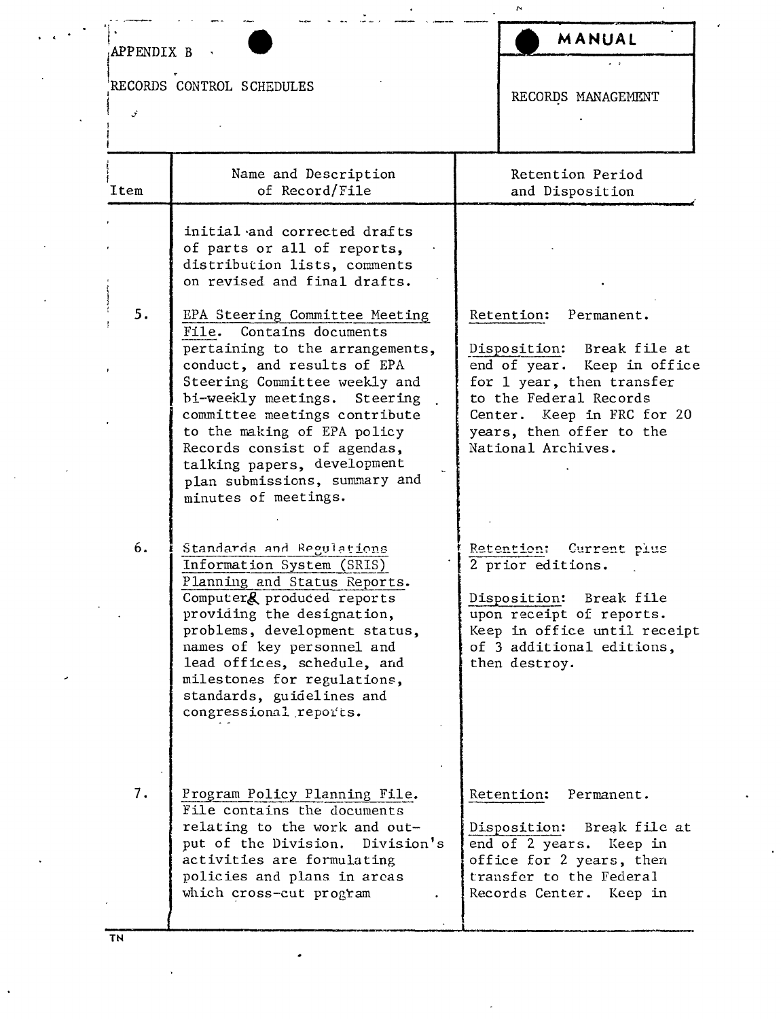| APPENDIX B |                                                                                                                                                                                                                                                                                                                                                                                                                                                                                                                        | MANUAL                                                                                                                                                                                                                          |
|------------|------------------------------------------------------------------------------------------------------------------------------------------------------------------------------------------------------------------------------------------------------------------------------------------------------------------------------------------------------------------------------------------------------------------------------------------------------------------------------------------------------------------------|---------------------------------------------------------------------------------------------------------------------------------------------------------------------------------------------------------------------------------|
| نۍ         | RECORDS CONTROL SCHEDULES                                                                                                                                                                                                                                                                                                                                                                                                                                                                                              | RECORDS MANAGEMENT                                                                                                                                                                                                              |
| Item       | Name and Description<br>of Record/File                                                                                                                                                                                                                                                                                                                                                                                                                                                                                 | Retention Period<br>and Disposition                                                                                                                                                                                             |
| 5.         | initial and corrected drafts<br>of parts or all of reports,<br>distribution lists, comments<br>on revised and final drafts.<br>EPA Steering Committee Meeting<br>Contains documents<br>File.<br>pertaining to the arrangements,<br>conduct, and results of EPA<br>Steering Committee weekly and<br>bi-weekly meetings. Steering<br>committee meetings contribute<br>to the making of EPA policy<br>Records consist of agendas,<br>talking papers, development<br>plan submissions, summary and<br>minutes of meetings. | Retention:<br>Permanent.<br>Disposition:<br>Break file at<br>end of year. Keep in office<br>for 1 year, then transfer<br>to the Federal Records<br>Center. Keep in FRC for 20<br>years, then offer to the<br>National Archives. |
| 6.         | Standards and Regulations<br>Information System (SRIS)<br>Planning and Status Reports.<br>Computer& produced reports<br>providing the designation,<br>problems, development status,<br>names of key personnel and<br>lead offices, schedule, and<br>milestones for regulations,<br>standards, guidelines and<br>congressional reports.                                                                                                                                                                                 | Retention: Current plus<br>2 prior editions.<br>Disposition: Break file<br>upon receipt of reports.<br>Keep in office until receipt<br>of 3 additional editions,<br>then destroy.                                               |
| 7.         | Program Policy Planning File.<br>File contains the documents<br>relating to the work and out-<br>put of the Division.<br>Division's<br>activities are formulating<br>policies and plans in areas<br>which cross-cut program                                                                                                                                                                                                                                                                                            | Retention:<br>Permanent.<br>Disposition:<br>Break file at<br>end of 2 years.<br>Keep in<br>office for 2 years, then<br>transfer to the Federal<br>Records Center.<br>Keep in                                                    |

 $\tilde{\mathbf{r}}$ 

J

**TN**

 $\overline{a}$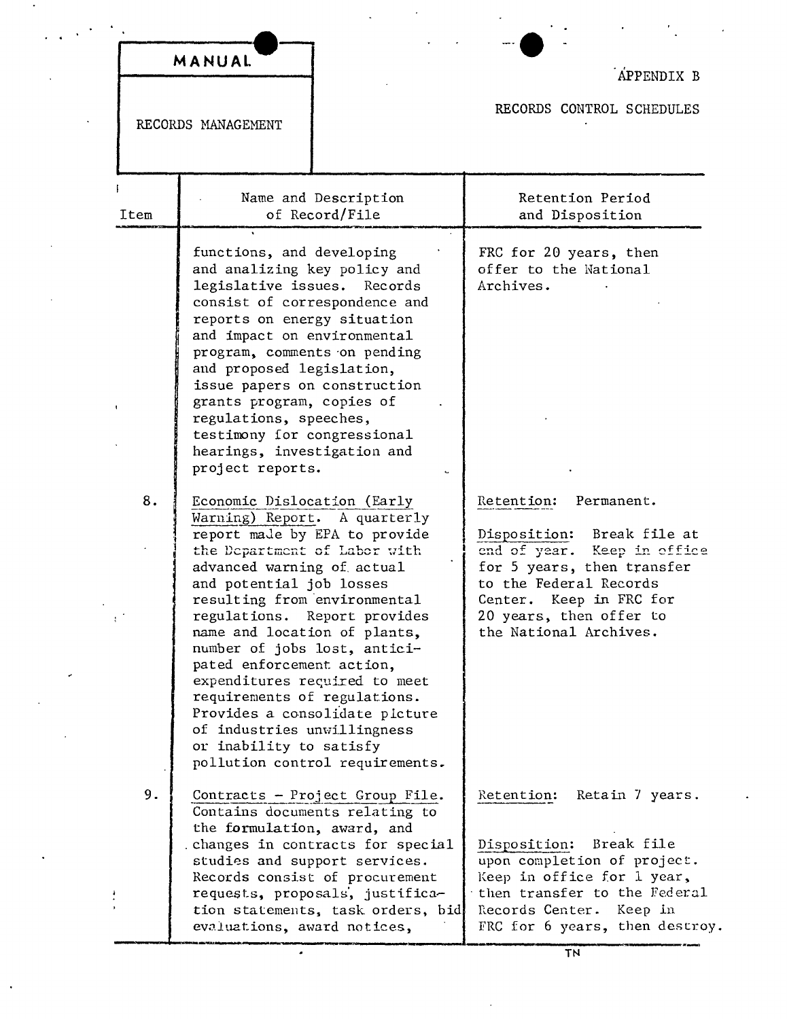| <b>MANIIAI</b> |  |  |  |
|----------------|--|--|--|

APPENDIX B

RECORDS CONTROL SCHEDULES

|      | RECORDS MANAGEMENT                                                                                                                                                                                                                                                                                                                                                                                                                                                                                                                                  |                                                                                                                                                                                                                            |
|------|-----------------------------------------------------------------------------------------------------------------------------------------------------------------------------------------------------------------------------------------------------------------------------------------------------------------------------------------------------------------------------------------------------------------------------------------------------------------------------------------------------------------------------------------------------|----------------------------------------------------------------------------------------------------------------------------------------------------------------------------------------------------------------------------|
| Item | Name and Description<br>of Record/File                                                                                                                                                                                                                                                                                                                                                                                                                                                                                                              | Retention Period<br>and Disposition                                                                                                                                                                                        |
|      | functions, and developing<br>and analizing key policy and<br>legislative issues. Records<br>consist of correspondence and<br>reports on energy situation<br>and impact on environmental<br>program, comments on pending<br>and proposed legislation,<br>issue papers on construction<br>grants program, copies of<br>regulations, speeches,<br>testimony for congressional<br>hearings, investigation and<br>project reports.                                                                                                                       | FRC for 20 years, then<br>offer to the National<br>Archives.                                                                                                                                                               |
| 8.   | Economic Dislocation (Early<br>Warning) Report. A quarterly<br>report made by EPA to provide<br>the Department of Labor with<br>advanced warning of actual<br>and potential job losses<br>resulting from environmental<br>regulations. Report provides<br>name and location of plants,<br>number of jobs lost, antici-<br>pated enforcement action,<br>expenditures required to meet<br>requirements of regulations.<br>Provides a consolidate picture<br>of industries unwillingness<br>or inability to satisfy<br>pollution control requirements. | Retention: Permanent.<br>Disposition: Break file at<br>end of year. Keep in office<br>for 5 years, then transfer<br>to the Federal Records<br>Center. Keep in FRC for<br>20 years, then offer to<br>the National Archives. |
| 9.   | Contracts - Project Group File.<br>Contains documents relating to<br>the formulation, award, and<br>changes in contracts for special<br>studies and support services.<br>Records consist of procurement<br>requests, proposals, justifica-<br>tion statements, task orders, bid<br>evaluations, award notices,                                                                                                                                                                                                                                      | Retain 7 years.<br>Retention:<br>Break file<br>Disposition:<br>upon completion of project.<br>Keep in office for 1 year,<br>then transfer to the Federal<br>Records Center.<br>Keep in<br>FRC for 6 years, then destroy    |
|      |                                                                                                                                                                                                                                                                                                                                                                                                                                                                                                                                                     | TN                                                                                                                                                                                                                         |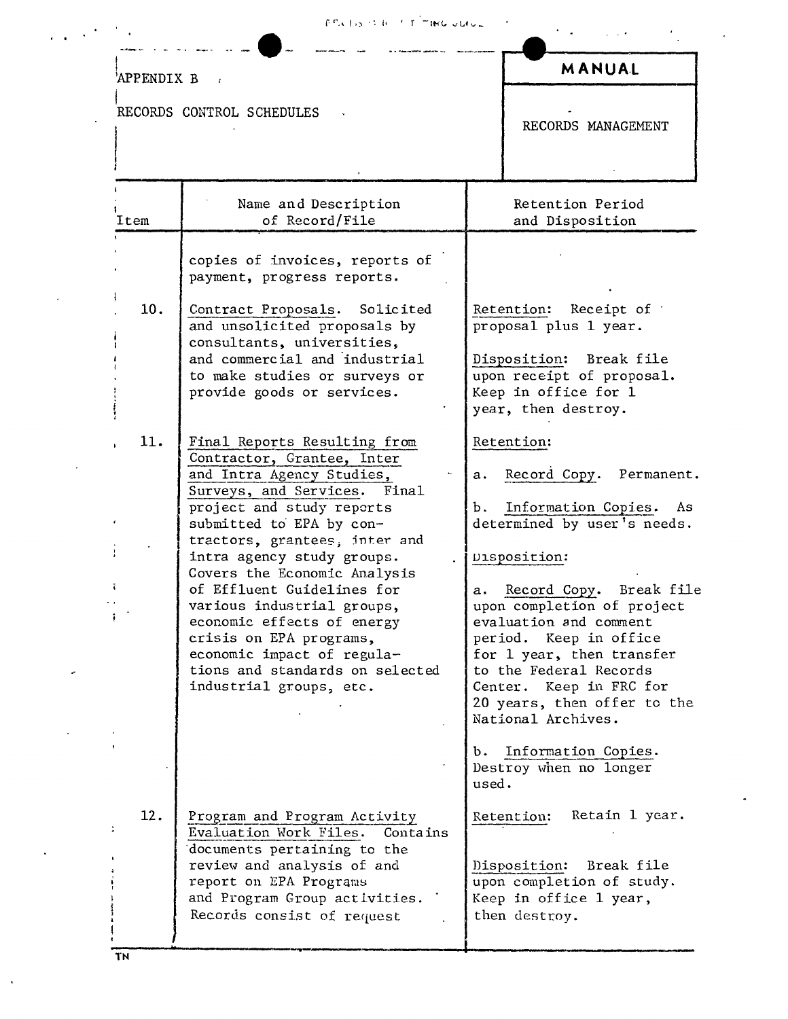$\mathcal{L}_{\mathcal{L}}$  .

 $\langle \rangle$ 

| 'APPENDIX B | $\sim$                                                                                                                                                                                                                                                                                                                                                                                                                                                                                           | MANUAL                                                                                                                                                                                                                                                                                                                                                                                                                                               |  |
|-------------|--------------------------------------------------------------------------------------------------------------------------------------------------------------------------------------------------------------------------------------------------------------------------------------------------------------------------------------------------------------------------------------------------------------------------------------------------------------------------------------------------|------------------------------------------------------------------------------------------------------------------------------------------------------------------------------------------------------------------------------------------------------------------------------------------------------------------------------------------------------------------------------------------------------------------------------------------------------|--|
|             | RECORDS CONTROL SCHEDULES                                                                                                                                                                                                                                                                                                                                                                                                                                                                        | RECORDS MANAGEMENT                                                                                                                                                                                                                                                                                                                                                                                                                                   |  |
| Item        | Name and Description<br>of Record/File                                                                                                                                                                                                                                                                                                                                                                                                                                                           | Retention Period<br>and Disposition                                                                                                                                                                                                                                                                                                                                                                                                                  |  |
| 10.         | copies of invoices, reports of<br>payment, progress reports.<br>Contract Proposals. Solicited<br>and unsolicited proposals by<br>consultants, universities,<br>and commercial and industrial<br>to make studies or surveys or<br>provide goods or services.                                                                                                                                                                                                                                      | Retention: Receipt of<br>proposal plus 1 year.<br>Disposition: Break file<br>upon receipt of proposal.<br>Keep in office for 1<br>year, then destroy.                                                                                                                                                                                                                                                                                                |  |
| 11.         | Final Reports Resulting from<br>Contractor, Grantee, Inter<br>and Intra Agency Studies,<br>Surveys, and Services. Final<br>project and study reports<br>submitted to EPA by con-<br>tractors, grantees, inter and<br>intra agency study groups.<br>Covers the Economic Analysis<br>of Effluent Guidelines for<br>various industrial groups,<br>economic effects of energy<br>crisis on EPA programs,<br>economic impact of regula-<br>tions and standards on selected<br>industrial groups, etc. | Retention:<br>Record Copy. Permanent.<br>а.<br>Information Copies.<br>As<br>b.<br>determined by user's needs.<br>Disposition:<br>Record Copy. Break file<br>a.<br>upon completion of project<br>evaluation and comment<br>period. Keep in office<br>for 1 year, then transfer<br>to the Federal Records<br>Center. Keep in FRC for<br>20 years, then offer to the<br>National Archives.<br>b. Information Copies.<br>Destroy when no longer<br>used. |  |
| 12.         | Program and Program Activity<br>Evaluation Work Files.<br>Contains<br>documents pertaining to the<br>review and analysis of and<br>report on EPA Programs<br>and Program Group activities.<br>Records consist of request                                                                                                                                                                                                                                                                         | Retain 1 year.<br>Retention:<br>Disposition: Break file<br>upon completion of study.<br>Keep in office 1 year,<br>then destroy.                                                                                                                                                                                                                                                                                                                      |  |

**1N**

 $\overline{1}$  ,  $\overline{1}$ 

 $\sim 10^{-11}$ 

 $\mathcal{L}^{\text{max}}_{\text{max}}$  and  $\mathcal{L}^{\text{max}}_{\text{max}}$ 

 $\sim$   $\sim$ 

 $\sim 10^{-10}$ 

 $\hat{\mathbf{r}}$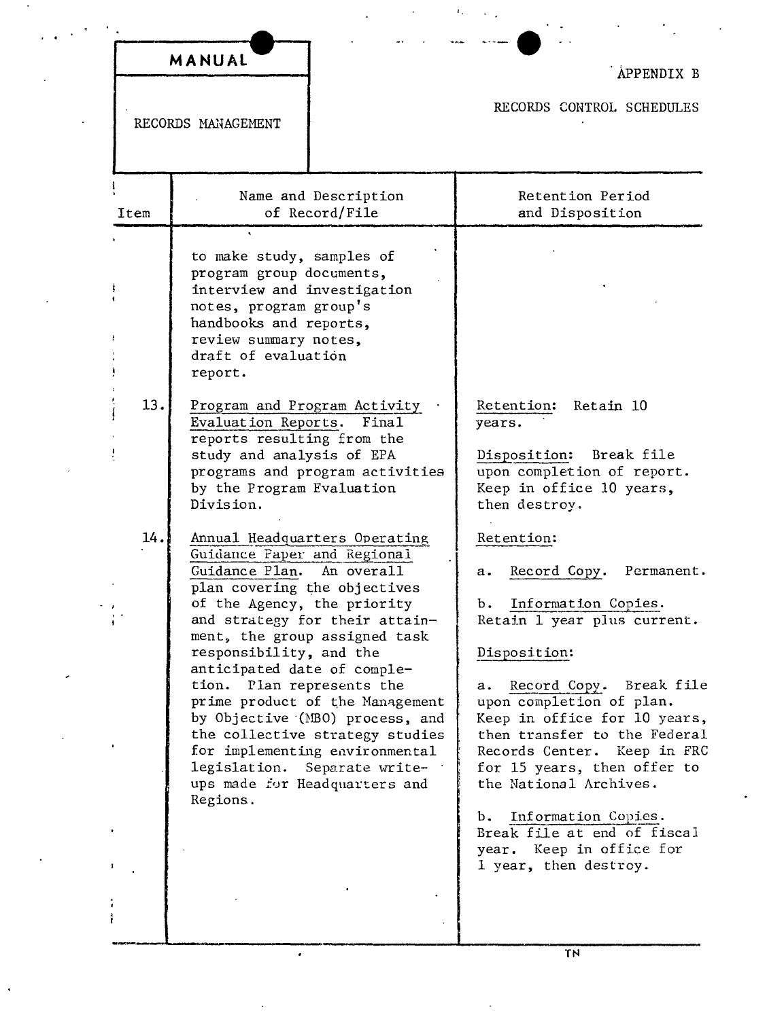| RECORDS MANAGEMENT<br>Retention Period<br>Name and Description<br>of Record/File<br>and Disposition<br>Item<br>to make study, samples of<br>program group documents,<br>interview and investigation<br>notes, program group's<br>handbooks and reports,<br>review summary notes,<br>draft of evaluation<br>report.<br>13.<br>Program and Program Activity<br>Retention:<br>Retain 10<br>Evaluation Reports.<br>Final<br>years.<br>reports resulting from the<br>study and analysis of EPA<br>Break file<br>Disposition:<br>programs and program activities<br>Keep in office 10 years,<br>by the Program Evaluation<br>Division.<br>then destroy.<br>14.<br>Annual Headquarters Operating<br>Retention:<br>Guidance Paper and Regional<br>Guidance Plan. An overall<br>Record Copy.<br>a.<br>plan covering the objectives<br>of the Agency, the priority<br>Information Copies.<br>b.<br>and strategy for their attain-<br>ment, the group assigned task<br>responsibility, and the<br>Disposition:<br>anticipated date of comple-<br>Plan represents the<br>tion.<br>а.<br>prime product of the Management<br>upon completion of plan.<br>by Objective (MBO) process, and<br>the collective strategy studies<br>for implementing environmental<br>legislation.<br>Separate write-<br>the National Archives.<br>ups made for Headquarters and<br>Regions.<br>Information Copies.<br>b.<br>Keep in office for<br>year.<br>1 year, then destroy. | MANUAL | APPENDIX B                                                                                                                                                                                                                        |
|------------------------------------------------------------------------------------------------------------------------------------------------------------------------------------------------------------------------------------------------------------------------------------------------------------------------------------------------------------------------------------------------------------------------------------------------------------------------------------------------------------------------------------------------------------------------------------------------------------------------------------------------------------------------------------------------------------------------------------------------------------------------------------------------------------------------------------------------------------------------------------------------------------------------------------------------------------------------------------------------------------------------------------------------------------------------------------------------------------------------------------------------------------------------------------------------------------------------------------------------------------------------------------------------------------------------------------------------------------------------------------------------------------------------------------------------|--------|-----------------------------------------------------------------------------------------------------------------------------------------------------------------------------------------------------------------------------------|
|                                                                                                                                                                                                                                                                                                                                                                                                                                                                                                                                                                                                                                                                                                                                                                                                                                                                                                                                                                                                                                                                                                                                                                                                                                                                                                                                                                                                                                                |        | RECORDS CONTROL SCHEDULES                                                                                                                                                                                                         |
|                                                                                                                                                                                                                                                                                                                                                                                                                                                                                                                                                                                                                                                                                                                                                                                                                                                                                                                                                                                                                                                                                                                                                                                                                                                                                                                                                                                                                                                |        |                                                                                                                                                                                                                                   |
|                                                                                                                                                                                                                                                                                                                                                                                                                                                                                                                                                                                                                                                                                                                                                                                                                                                                                                                                                                                                                                                                                                                                                                                                                                                                                                                                                                                                                                                |        |                                                                                                                                                                                                                                   |
|                                                                                                                                                                                                                                                                                                                                                                                                                                                                                                                                                                                                                                                                                                                                                                                                                                                                                                                                                                                                                                                                                                                                                                                                                                                                                                                                                                                                                                                |        | upon completion of report.                                                                                                                                                                                                        |
|                                                                                                                                                                                                                                                                                                                                                                                                                                                                                                                                                                                                                                                                                                                                                                                                                                                                                                                                                                                                                                                                                                                                                                                                                                                                                                                                                                                                                                                |        | Permanent.<br>Retain 1 year plus current.<br>Record Copy. Break file<br>Keep in office for 10 years,<br>then transfer to the Federal<br>Records Center. Keep in FRC<br>for 15 years, then offer to<br>Break file at end of fiscal |
|                                                                                                                                                                                                                                                                                                                                                                                                                                                                                                                                                                                                                                                                                                                                                                                                                                                                                                                                                                                                                                                                                                                                                                                                                                                                                                                                                                                                                                                |        |                                                                                                                                                                                                                                   |

l,

 $\ddot{\phantom{0}}$ 

.

 $\pmb{\cdot}$ 

 $\ddot{\phantom{a}}$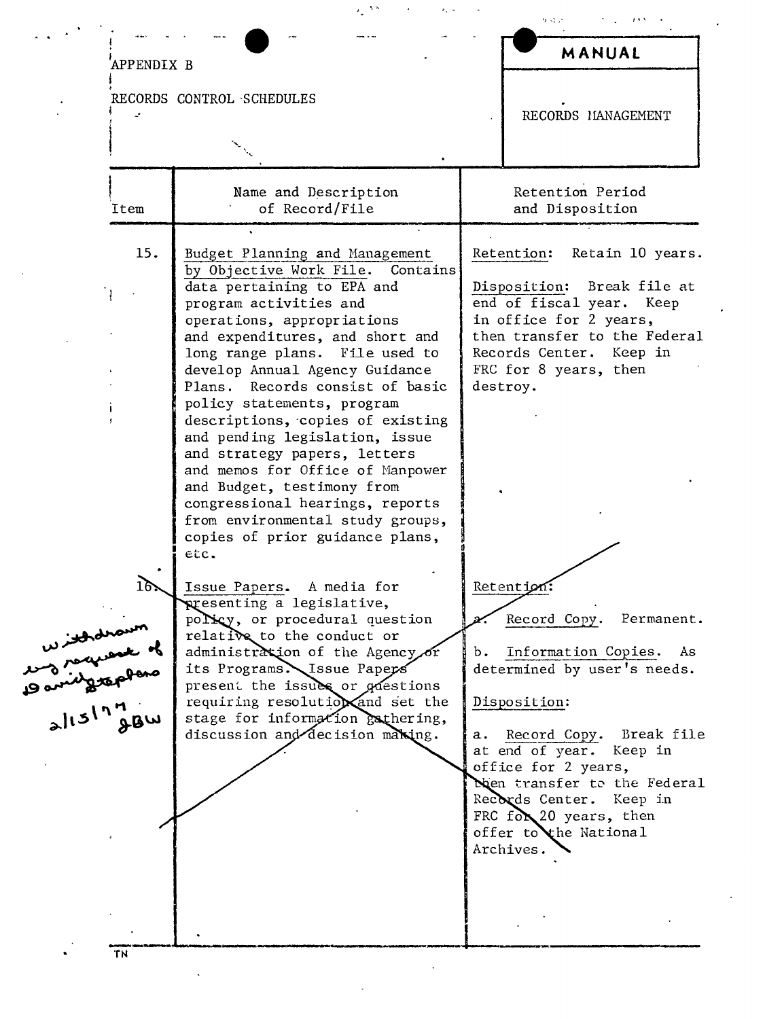|                                             | APPENDIX B |                                                                                                                                                                                                                                                                                                                                                                                                                                                                                                                                                                                                                            |                | MANUAL                                                                                                                                                                                                                                                                                                                         |
|---------------------------------------------|------------|----------------------------------------------------------------------------------------------------------------------------------------------------------------------------------------------------------------------------------------------------------------------------------------------------------------------------------------------------------------------------------------------------------------------------------------------------------------------------------------------------------------------------------------------------------------------------------------------------------------------------|----------------|--------------------------------------------------------------------------------------------------------------------------------------------------------------------------------------------------------------------------------------------------------------------------------------------------------------------------------|
|                                             |            | RECORDS CONTROL SCHEDULES                                                                                                                                                                                                                                                                                                                                                                                                                                                                                                                                                                                                  |                | RECORDS MANAGEMENT                                                                                                                                                                                                                                                                                                             |
|                                             | Item       | Name and Description<br>of Record/File                                                                                                                                                                                                                                                                                                                                                                                                                                                                                                                                                                                     |                | Retention Period<br>and Disposition                                                                                                                                                                                                                                                                                            |
|                                             | 15.        | Budget Planning and Management<br>by Objective Work File. Contains<br>data pertaining to EPA and<br>program activities and<br>operations, appropriations<br>and expenditures, and short and<br>long range plans. File used to<br>develop Annual Agency Guidance<br>Plans. Records consist of basic<br>policy statements, program<br>descriptions, copies of existing<br>and pending legislation, issue<br>and strategy papers, letters<br>and memos for Office of Manpower<br>and Budget, testimony from<br>congressional hearings, reports<br>from environmental study groups,<br>copies of prior guidance plans,<br>etc. |                | Retain 10 years.<br>Retention:<br>Disposition: Break file at<br>end of fiscal year. Keep<br>in office for 2 years,<br>then transfer to the Federal<br>Records Center. Keep in<br>FRC for 8 years, then<br>destroy.                                                                                                             |
| withdrawn<br>spaceweak of<br>parisystephene | 16         | Issue Papers.<br>A media for<br>presenting a legislative,<br>policy, or procedural question<br>relative to the conduct or<br>administration of the Agency or<br>its Programs. Issue Papers<br>present the issues or guestions<br>requiring resolutioxand set the<br>stage for information gathering,<br>discussion and decision making.                                                                                                                                                                                                                                                                                    | $\alpha$<br>b. | Retention<br>Record Copy.<br>Permanent.<br>Information Copies.<br>As<br>determined by user's needs.<br>Disposition:<br>a. Record Copy. Break file<br>at end of year. Keep in<br>office for 2 years,<br>Nien transfer to the Federal<br>Records Center. Keep in<br>FRC for 20 years, then<br>offer to the National<br>Archives. |

 $\mathcal{A}$ 

 $\label{eq:2.1} \mathcal{F}_{\mathbf{z}}(A, \mathbf{X}) = \mathcal{F}_{\mathbf{z}}(A, \mathbf{X}) = \mathcal{F}_{\mathbf{z}}(A, \mathbf{X}) = \mathcal{F}_{\mathbf{z}}(A, \mathbf{X})$